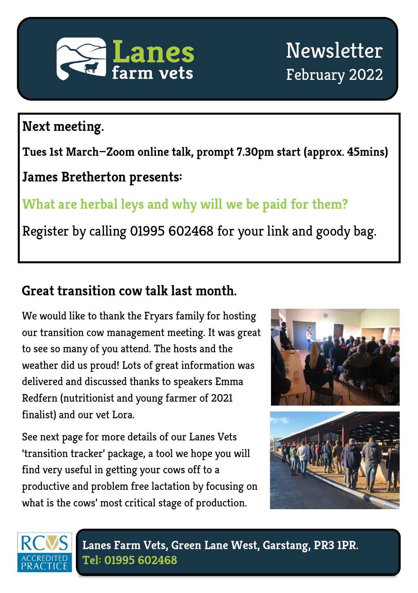

#### **Next meeting.**

**Tues 1st March—Zoom online talk, prompt 7.30pm start (approx. 45mins)**

#### **James Bretherton presents:**

## **What are herbal leys and why will we be paid for them?**

Register by calling 01995 602468 for your link and goody bag.

#### **Great transition cow talk last month.**

We would like to thank the Fryars family for hosting our transition cow management meeting. It was great to see so many of you attend. The hosts and the weather did us proud! Lots of great information was delivered and discussed thanks to speakers Emma Redfern (nutritionist and young farmer of 2021 finalist) and our vet Lora.

See next page for more details of our Lanes Vets 'transition tracker' package, a tool we hope you will find very useful in getting your cows off to a productive and problem free lactation by focusing on what is the cows' most critical stage of production.





**Lanes Farm Vets, Green Lane West, Garstang, PR3 1PR. Tel: 01995 602468**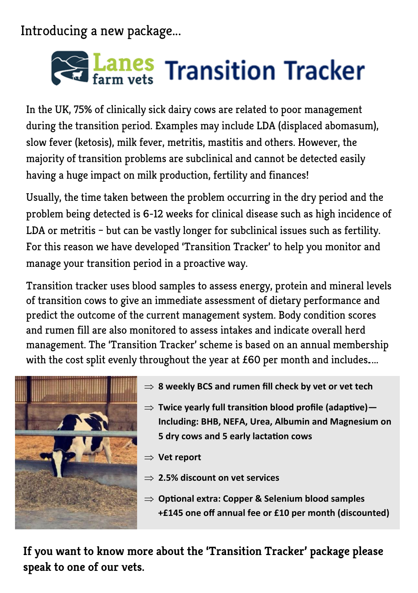Introducing a new package...

# Lanes Transition Tracker

In the UK, 75% of clinically sick dairy cows are related to poor management during the transition period. Examples may include LDA (displaced abomasum), slow fever (ketosis), milk fever, metritis, mastitis and others. However, the majority of transition problems are subclinical and cannot be detected easily having a huge impact on milk production, fertility and finances!

Usually, the time taken between the problem occurring in the dry period and the problem being detected is 6-12 weeks for clinical disease such as high incidence of LDA or metritis – but can be vastly longer for subclinical issues such as fertility. For this reason we have developed 'Transition Tracker' to help you monitor and manage your transition period in a proactive way.

Transition tracker uses blood samples to assess energy, protein and mineral levels of transition cows to give an immediate assessment of dietary performance and predict the outcome of the current management system. Body condition scores and rumen fill are also monitored to assess intakes and indicate overall herd management. The 'Transition Tracker' scheme is based on an annual membership with the cost split evenly throughout the year at £60 per month and includes....



- $\Rightarrow$  **8 weekly BCS and rumen fill check by vet or vet tech**
- **Twice yearly full transition blood profile (adaptive)— Including: BHB, NEFA, Urea, Albumin and Magnesium on 5 dry cows and 5 early lactation cows**

**Vet report**

- **2.5% discount on vet services**
- **Optional extra: Copper & Selenium blood samples +£145 one off annual fee or £10 per month (discounted)**

**If you want to know more about the 'Transition Tracker' package please speak to one of our vets.**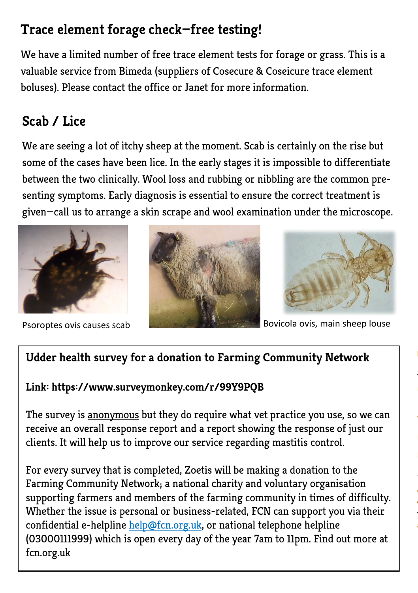### **Trace element forage check—free testing!**

We have a limited number of free trace element tests for forage or grass. This is a valuable service from Bimeda (suppliers of Cosecure & Coseicure trace element boluses). Please contact the office or Janet for more information.

## **Scab / Lice**

We are seeing a lot of itchy sheep at the moment. Scab is certainly on the rise but some of the cases have been lice. In the early stages it is impossible to differentiate between the two clinically. Wool loss and rubbing or nibbling are the common presenting symptoms. Early diagnosis is essential to ensure the correct treatment is given—call us to arrange a skin scrape and wool examination under the microscope.







Psoroptes ovis causes scab Bovicola ovis, main sheep louse

#### **Udder health survey for a donation to Farming Community Network**

#### **Link: https://www.surveymonkey.com/r/99Y9PQB**

The survey is anonymous but they do require what vet practice you use, so we can receive an overall response report and a report showing the response of just our clients. It will help us to improve our service regarding mastitis control.

For every survey that is completed, Zoetis will be making a donation to the Farming Community Network; a national charity and voluntary organisation supporting farmers and members of the farming community in times of difficulty. Whether the issue is personal or business-related, FCN can support you via their confidential e-helpline help@fcn.org.uk, or national telephone helpline (03000111999) which is open every day of the year 7am to 11pm. Find out more at fcn.org.uk